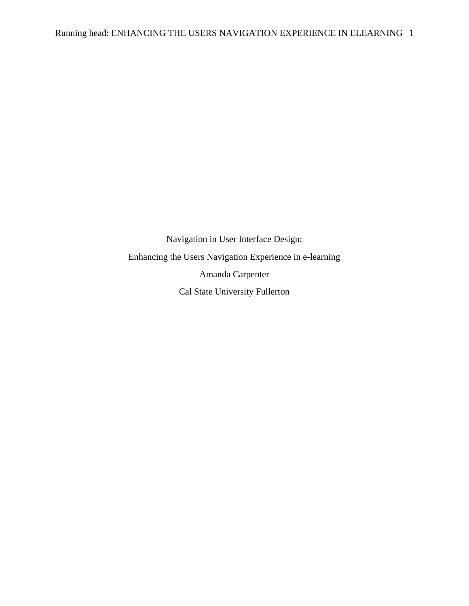Navigation in User Interface Design: Enhancing the Users Navigation Experience in e-learning Amanda Carpenter Cal State University Fullerton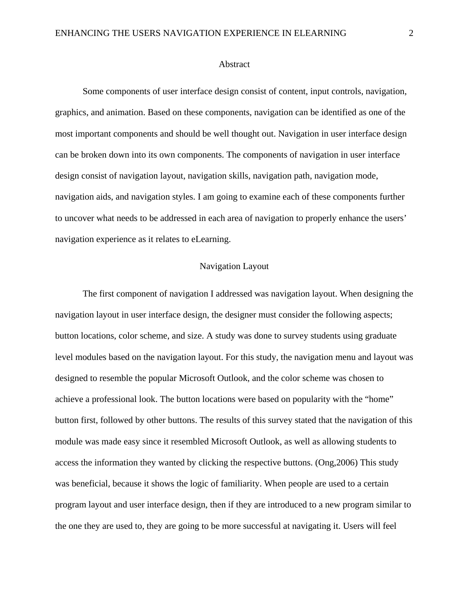#### Abstract

Some components of user interface design consist of content, input controls, navigation, graphics, and animation. Based on these components, navigation can be identified as one of the most important components and should be well thought out. Navigation in user interface design can be broken down into its own components. The components of navigation in user interface design consist of navigation layout, navigation skills, navigation path, navigation mode, navigation aids, and navigation styles. I am going to examine each of these components further to uncover what needs to be addressed in each area of navigation to properly enhance the users' navigation experience as it relates to eLearning.

# Navigation Layout

The first component of navigation I addressed was navigation layout. When designing the navigation layout in user interface design, the designer must consider the following aspects; button locations, color scheme, and size. A study was done to survey students using graduate level modules based on the navigation layout. For this study, the navigation menu and layout was designed to resemble the popular Microsoft Outlook, and the color scheme was chosen to achieve a professional look. The button locations were based on popularity with the "home" button first, followed by other buttons. The results of this survey stated that the navigation of this module was made easy since it resembled Microsoft Outlook, as well as allowing students to access the information they wanted by clicking the respective buttons. (Ong,2006) This study was beneficial, because it shows the logic of familiarity. When people are used to a certain program layout and user interface design, then if they are introduced to a new program similar to the one they are used to, they are going to be more successful at navigating it. Users will feel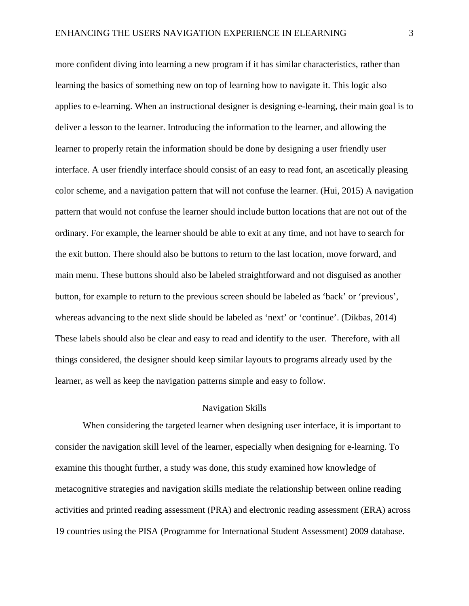more confident diving into learning a new program if it has similar characteristics, rather than learning the basics of something new on top of learning how to navigate it. This logic also applies to e-learning. When an instructional designer is designing e-learning, their main goal is to deliver a lesson to the learner. Introducing the information to the learner, and allowing the learner to properly retain the information should be done by designing a user friendly user interface. A user friendly interface should consist of an easy to read font, an ascetically pleasing color scheme, and a navigation pattern that will not confuse the learner. (Hui, 2015) A navigation pattern that would not confuse the learner should include button locations that are not out of the ordinary. For example, the learner should be able to exit at any time, and not have to search for the exit button. There should also be buttons to return to the last location, move forward, and main menu. These buttons should also be labeled straightforward and not disguised as another button, for example to return to the previous screen should be labeled as 'back' or 'previous', whereas advancing to the next slide should be labeled as 'next' or 'continue'. (Dikbas, 2014) These labels should also be clear and easy to read and identify to the user. Therefore, with all things considered, the designer should keep similar layouts to programs already used by the learner, as well as keep the navigation patterns simple and easy to follow.

## Navigation Skills

When considering the targeted learner when designing user interface, it is important to consider the navigation skill level of the learner, especially when designing for e-learning. To examine this thought further, a study was done, this study examined how knowledge of metacognitive strategies and navigation skills mediate the relationship between online reading activities and printed reading assessment (PRA) and electronic reading assessment (ERA) across 19 countries using the PISA (Programme for International Student Assessment) 2009 database.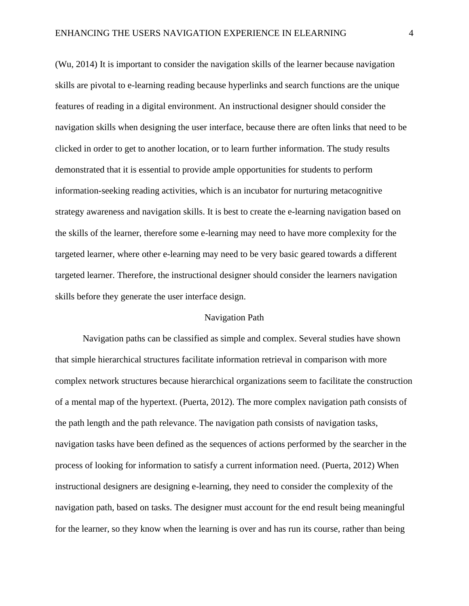(Wu, 2014) It is important to consider the navigation skills of the learner because navigation skills are pivotal to e-learning reading because hyperlinks and search functions are the unique features of reading in a digital environment. An instructional designer should consider the navigation skills when designing the user interface, because there are often links that need to be clicked in order to get to another location, or to learn further information. The study results demonstrated that it is essential to provide ample opportunities for students to perform information-seeking reading activities, which is an incubator for nurturing metacognitive strategy awareness and navigation skills. It is best to create the e-learning navigation based on the skills of the learner, therefore some e-learning may need to have more complexity for the targeted learner, where other e-learning may need to be very basic geared towards a different targeted learner. Therefore, the instructional designer should consider the learners navigation skills before they generate the user interface design.

### Navigation Path

Navigation paths can be classified as simple and complex. Several studies have shown that simple hierarchical structures facilitate information retrieval in comparison with more complex network structures because hierarchical organizations seem to facilitate the construction of a mental map of the hypertext. (Puerta, 2012). The more complex navigation path consists of the path length and the path relevance. The navigation path consists of navigation tasks, navigation tasks have been defined as the sequences of actions performed by the searcher in the process of looking for information to satisfy a current information need. (Puerta, 2012) When instructional designers are designing e-learning, they need to consider the complexity of the navigation path, based on tasks. The designer must account for the end result being meaningful for the learner, so they know when the learning is over and has run its course, rather than being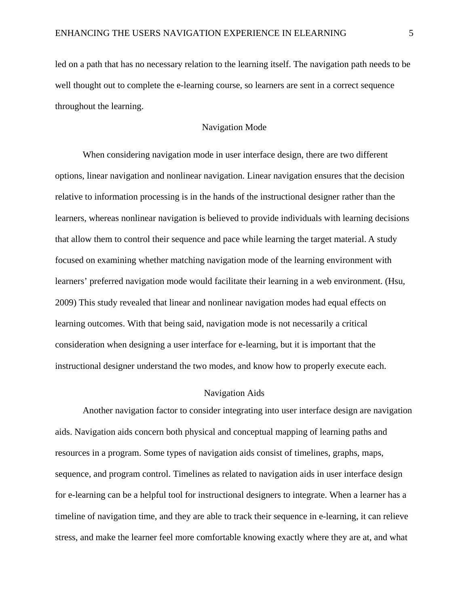led on a path that has no necessary relation to the learning itself. The navigation path needs to be well thought out to complete the e-learning course, so learners are sent in a correct sequence throughout the learning.

### Navigation Mode

When considering navigation mode in user interface design, there are two different options, linear navigation and nonlinear navigation. Linear navigation ensures that the decision relative to information processing is in the hands of the instructional designer rather than the learners, whereas nonlinear navigation is believed to provide individuals with learning decisions that allow them to control their sequence and pace while learning the target material. A study focused on examining whether matching navigation mode of the learning environment with learners' preferred navigation mode would facilitate their learning in a web environment. (Hsu, 2009) This study revealed that linear and nonlinear navigation modes had equal effects on learning outcomes. With that being said, navigation mode is not necessarily a critical consideration when designing a user interface for e-learning, but it is important that the instructional designer understand the two modes, and know how to properly execute each.

### Navigation Aids

Another navigation factor to consider integrating into user interface design are navigation aids. Navigation aids concern both physical and conceptual mapping of learning paths and resources in a program. Some types of navigation aids consist of timelines, graphs, maps, sequence, and program control. Timelines as related to navigation aids in user interface design for e-learning can be a helpful tool for instructional designers to integrate. When a learner has a timeline of navigation time, and they are able to track their sequence in e-learning, it can relieve stress, and make the learner feel more comfortable knowing exactly where they are at, and what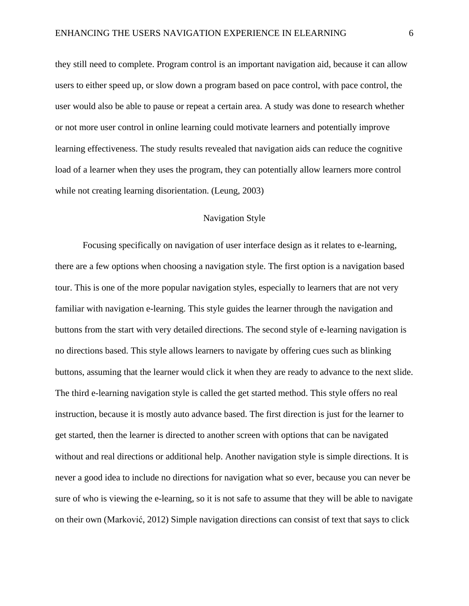they still need to complete. Program control is an important navigation aid, because it can allow users to either speed up, or slow down a program based on pace control, with pace control, the user would also be able to pause or repeat a certain area. A study was done to research whether or not more user control in online learning could motivate learners and potentially improve learning effectiveness. The study results revealed that navigation aids can reduce the cognitive load of a learner when they uses the program, they can potentially allow learners more control while not creating learning disorientation. (Leung, 2003)

## Navigation Style

Focusing specifically on navigation of user interface design as it relates to e-learning, there are a few options when choosing a navigation style. The first option is a navigation based tour. This is one of the more popular navigation styles, especially to learners that are not very familiar with navigation e-learning. This style guides the learner through the navigation and buttons from the start with very detailed directions. The second style of e-learning navigation is no directions based. This style allows learners to navigate by offering cues such as blinking buttons, assuming that the learner would click it when they are ready to advance to the next slide. The third e-learning navigation style is called the get started method. This style offers no real instruction, because it is mostly auto advance based. The first direction is just for the learner to get started, then the learner is directed to another screen with options that can be navigated without and real directions or additional help. Another navigation style is simple directions. It is never a good idea to include no directions for navigation what so ever, because you can never be sure of who is viewing the e-learning, so it is not safe to assume that they will be able to navigate on their own (Marković, 2012) Simple navigation directions can consist of text that says to click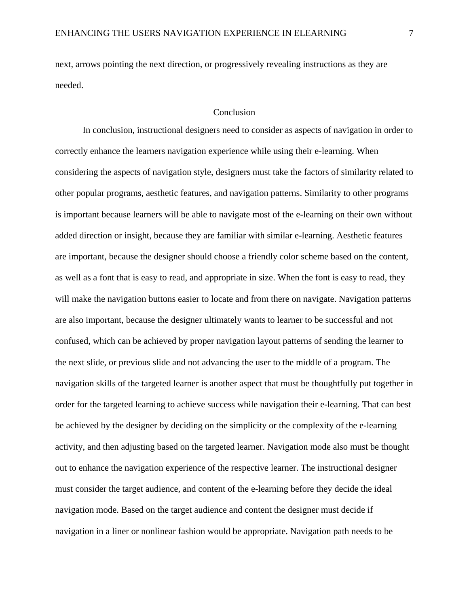next, arrows pointing the next direction, or progressively revealing instructions as they are needed.

#### Conclusion

In conclusion, instructional designers need to consider as aspects of navigation in order to correctly enhance the learners navigation experience while using their e-learning. When considering the aspects of navigation style, designers must take the factors of similarity related to other popular programs, aesthetic features, and navigation patterns. Similarity to other programs is important because learners will be able to navigate most of the e-learning on their own without added direction or insight, because they are familiar with similar e-learning. Aesthetic features are important, because the designer should choose a friendly color scheme based on the content, as well as a font that is easy to read, and appropriate in size. When the font is easy to read, they will make the navigation buttons easier to locate and from there on navigate. Navigation patterns are also important, because the designer ultimately wants to learner to be successful and not confused, which can be achieved by proper navigation layout patterns of sending the learner to the next slide, or previous slide and not advancing the user to the middle of a program. The navigation skills of the targeted learner is another aspect that must be thoughtfully put together in order for the targeted learning to achieve success while navigation their e-learning. That can best be achieved by the designer by deciding on the simplicity or the complexity of the e-learning activity, and then adjusting based on the targeted learner. Navigation mode also must be thought out to enhance the navigation experience of the respective learner. The instructional designer must consider the target audience, and content of the e-learning before they decide the ideal navigation mode. Based on the target audience and content the designer must decide if navigation in a liner or nonlinear fashion would be appropriate. Navigation path needs to be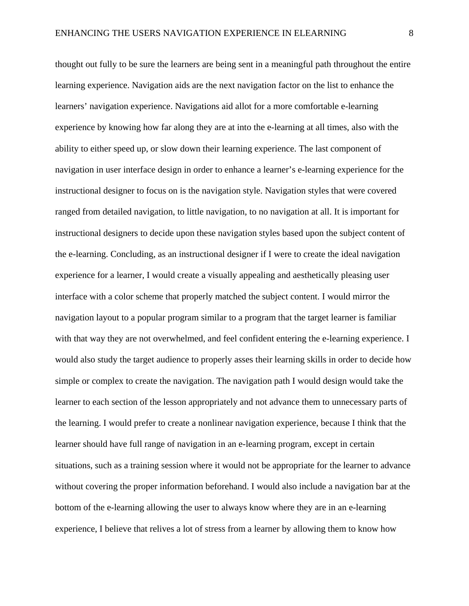thought out fully to be sure the learners are being sent in a meaningful path throughout the entire learning experience. Navigation aids are the next navigation factor on the list to enhance the learners' navigation experience. Navigations aid allot for a more comfortable e-learning experience by knowing how far along they are at into the e-learning at all times, also with the ability to either speed up, or slow down their learning experience. The last component of navigation in user interface design in order to enhance a learner's e-learning experience for the instructional designer to focus on is the navigation style. Navigation styles that were covered ranged from detailed navigation, to little navigation, to no navigation at all. It is important for instructional designers to decide upon these navigation styles based upon the subject content of the e-learning. Concluding, as an instructional designer if I were to create the ideal navigation experience for a learner, I would create a visually appealing and aesthetically pleasing user interface with a color scheme that properly matched the subject content. I would mirror the navigation layout to a popular program similar to a program that the target learner is familiar with that way they are not overwhelmed, and feel confident entering the e-learning experience. I would also study the target audience to properly asses their learning skills in order to decide how simple or complex to create the navigation. The navigation path I would design would take the learner to each section of the lesson appropriately and not advance them to unnecessary parts of the learning. I would prefer to create a nonlinear navigation experience, because I think that the learner should have full range of navigation in an e-learning program, except in certain situations, such as a training session where it would not be appropriate for the learner to advance without covering the proper information beforehand. I would also include a navigation bar at the bottom of the e-learning allowing the user to always know where they are in an e-learning experience, I believe that relives a lot of stress from a learner by allowing them to know how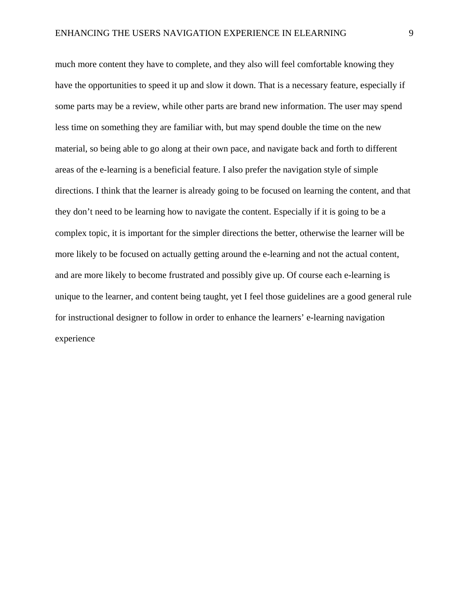much more content they have to complete, and they also will feel comfortable knowing they have the opportunities to speed it up and slow it down. That is a necessary feature, especially if some parts may be a review, while other parts are brand new information. The user may spend less time on something they are familiar with, but may spend double the time on the new material, so being able to go along at their own pace, and navigate back and forth to different areas of the e-learning is a beneficial feature. I also prefer the navigation style of simple directions. I think that the learner is already going to be focused on learning the content, and that they don't need to be learning how to navigate the content. Especially if it is going to be a complex topic, it is important for the simpler directions the better, otherwise the learner will be more likely to be focused on actually getting around the e-learning and not the actual content, and are more likely to become frustrated and possibly give up. Of course each e-learning is unique to the learner, and content being taught, yet I feel those guidelines are a good general rule for instructional designer to follow in order to enhance the learners' e-learning navigation experience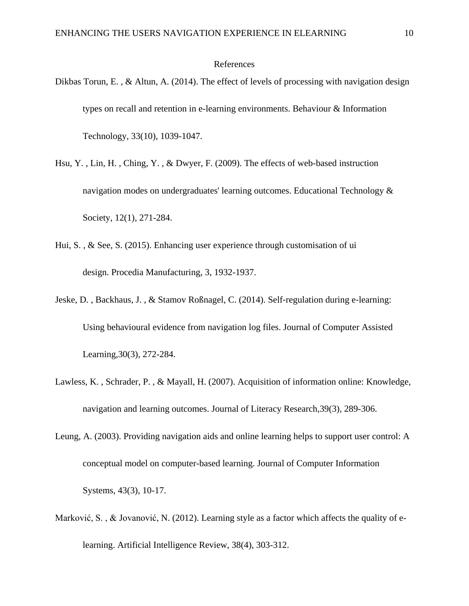### References

- Dikbas Torun, E., & Altun, A. (2014). The effect of levels of processing with navigation design types on recall and retention in e-learning environments. Behaviour & Information Technology, 33(10), 1039-1047.
- Hsu, Y. , Lin, H. , Ching, Y. , & Dwyer, F. (2009). The effects of web-based instruction navigation modes on undergraduates' learning outcomes. Educational Technology & Society, 12(1), 271-284.
- Hui, S. , & See, S. (2015). Enhancing user experience through customisation of ui design. Procedia Manufacturing, 3, 1932-1937.
- Jeske, D. , Backhaus, J. , & Stamov Roßnagel, C. (2014). Self‐regulation during e‐learning: Using behavioural evidence from navigation log files. Journal of Computer Assisted Learning,30(3), 272-284.
- Lawless, K. , Schrader, P. , & Mayall, H. (2007). Acquisition of information online: Knowledge, navigation and learning outcomes. Journal of Literacy Research,39(3), 289-306.
- Leung, A. (2003). Providing navigation aids and online learning helps to support user control: A conceptual model on computer-based learning. Journal of Computer Information Systems, 43(3), 10-17.
- Marković, S., & Jovanović, N. (2012). Learning style as a factor which affects the quality of elearning. Artificial Intelligence Review, 38(4), 303-312.